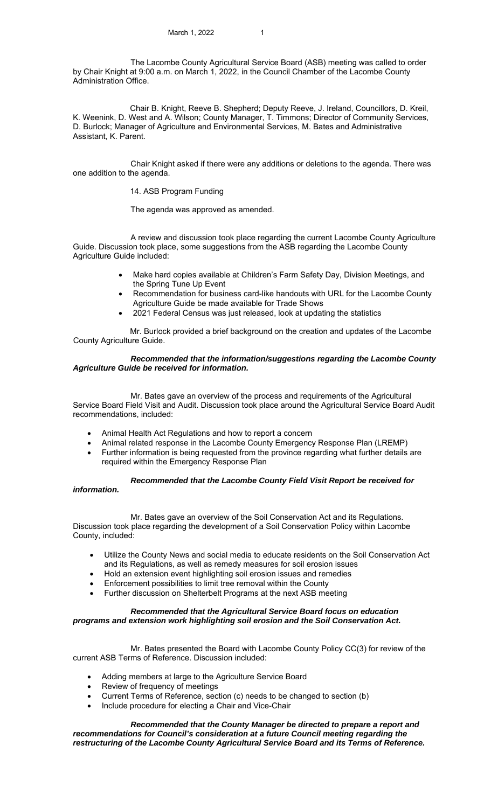The Lacombe County Agricultural Service Board (ASB) meeting was called to order by Chair Knight at 9:00 a.m. on March 1, 2022, in the Council Chamber of the Lacombe County Administration Office.

Chair B. Knight, Reeve B. Shepherd; Deputy Reeve, J. Ireland, Councillors, D. Kreil, K. Weenink, D. West and A. Wilson; County Manager, T. Timmons; Director of Community Services, D. Burlock; Manager of Agriculture and Environmental Services, M. Bates and Administrative Assistant, K. Parent.

 Chair Knight asked if there were any additions or deletions to the agenda. There was one addition to the agenda.

#### 14. ASB Program Funding

The agenda was approved as amended.

 A review and discussion took place regarding the current Lacombe County Agriculture Guide. Discussion took place, some suggestions from the ASB regarding the Lacombe County Agriculture Guide included:

- Make hard copies available at Children's Farm Safety Day, Division Meetings, and the Spring Tune Up Event
- Recommendation for business card-like handouts with URL for the Lacombe County Agriculture Guide be made available for Trade Shows
- 2021 Federal Census was just released, look at updating the statistics

Mr. Burlock provided a brief background on the creation and updates of the Lacombe County Agriculture Guide.

## *Recommended that the information/suggestions regarding the Lacombe County Agriculture Guide be received for information.*

 Mr. Bates gave an overview of the process and requirements of the Agricultural Service Board Field Visit and Audit. Discussion took place around the Agricultural Service Board Audit recommendations, included:

- Animal Health Act Regulations and how to report a concern
- Animal related response in the Lacombe County Emergency Response Plan (LREMP)
- Further information is being requested from the province regarding what further details are required within the Emergency Response Plan

# *Recommended that the Lacombe County Field Visit Report be received for*

# *information.*

 Mr. Bates gave an overview of the Soil Conservation Act and its Regulations. Discussion took place regarding the development of a Soil Conservation Policy within Lacombe County, included:

- Utilize the County News and social media to educate residents on the Soil Conservation Act and its Regulations, as well as remedy measures for soil erosion issues
- Hold an extension event highlighting soil erosion issues and remedies
- Enforcement possibilities to limit tree removal within the County
- Further discussion on Shelterbelt Programs at the next ASB meeting

# *Recommended that the Agricultural Service Board focus on education programs and extension work highlighting soil erosion and the Soil Conservation Act.*

 Mr. Bates presented the Board with Lacombe County Policy CC(3) for review of the current ASB Terms of Reference. Discussion included:

- Adding members at large to the Agriculture Service Board
- Review of frequency of meetings
- Current Terms of Reference, section (c) needs to be changed to section (b)
- Include procedure for electing a Chair and Vice-Chair

 *Recommended that the County Manager be directed to prepare a report and recommendations for Council's consideration at a future Council meeting regarding the restructuring of the Lacombe County Agricultural Service Board and its Terms of Reference.*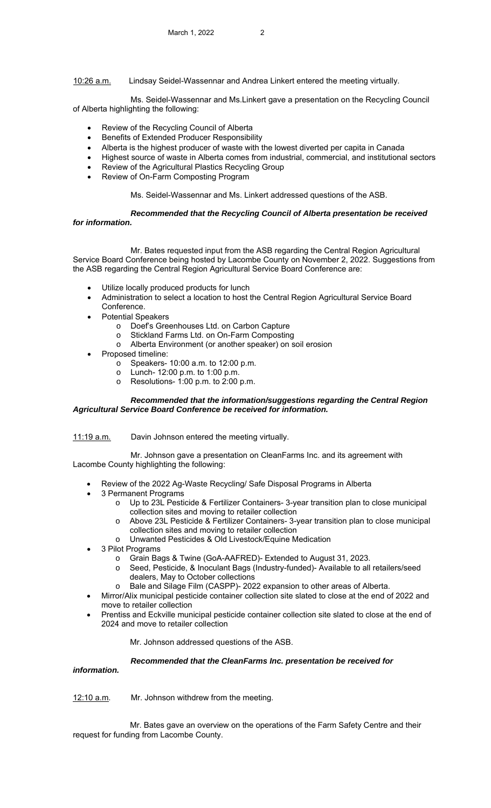10:26 a.m. Lindsay Seidel-Wassennar and Andrea Linkert entered the meeting virtually.

 Ms. Seidel-Wassennar and Ms.Linkert gave a presentation on the Recycling Council of Alberta highlighting the following:

- Review of the Recycling Council of Alberta
- Benefits of Extended Producer Responsibility
- Alberta is the highest producer of waste with the lowest diverted per capita in Canada
- Highest source of waste in Alberta comes from industrial, commercial, and institutional sectors
- Review of the Agricultural Plastics Recycling Group
- Review of On-Farm Composting Program

Ms. Seidel-Wassennar and Ms. Linkert addressed questions of the ASB.

# *Recommended that the Recycling Council of Alberta presentation be received*

*for information.* 

 Mr. Bates requested input from the ASB regarding the Central Region Agricultural Service Board Conference being hosted by Lacombe County on November 2, 2022. Suggestions from the ASB regarding the Central Region Agricultural Service Board Conference are:

- Utilize locally produced products for lunch
- Administration to select a location to host the Central Region Agricultural Service Board Conference.
	- Potential Speakers
		- o Doef's Greenhouses Ltd. on Carbon Capture
		- o Stickland Farms Ltd. on On-Farm Composting
		- Alberta Environment (or another speaker) on soil erosion
- Proposed timeline:
	- o Speakers- 10:00 a.m. to 12:00 p.m.
	- o Lunch- 12:00 p.m. to 1:00 p.m.
	- o Resolutions- 1:00 p.m. to 2:00 p.m.

### *Recommended that the information/suggestions regarding the Central Region Agricultural Service Board Conference be received for information.*

11:19 a.m. Davin Johnson entered the meeting virtually.

 Mr. Johnson gave a presentation on CleanFarms Inc. and its agreement with Lacombe County highlighting the following:

- Review of the 2022 Ag-Waste Recycling/ Safe Disposal Programs in Alberta
- 3 Permanent Programs
	- o Up to 23L Pesticide & Fertilizer Containers- 3-year transition plan to close municipal collection sites and moving to retailer collection
	- o Above 23L Pesticide & Fertilizer Containers- 3-year transition plan to close municipal collection sites and moving to retailer collection
	- o Unwanted Pesticides & Old Livestock/Equine Medication
- 3 Pilot Programs
	- o Grain Bags & Twine (GoA-AAFRED)- Extended to August 31, 2023.
	- o Seed, Pesticide, & Inoculant Bags (Industry-funded)- Available to all retailers/seed dealers, May to October collections
	- Bale and Silage Film (CASPP)- 2022 expansion to other areas of Alberta.
- Mirror/Alix municipal pesticide container collection site slated to close at the end of 2022 and move to retailer collection
- Prentiss and Eckville municipal pesticide container collection site slated to close at the end of 2024 and move to retailer collection

Mr. Johnson addressed questions of the ASB.

#### *Recommended that the CleanFarms Inc. presentation be received for*

*information.* 

12:10 a.m. Mr. Johnson withdrew from the meeting.

Mr. Bates gave an overview on the operations of the Farm Safety Centre and their request for funding from Lacombe County.